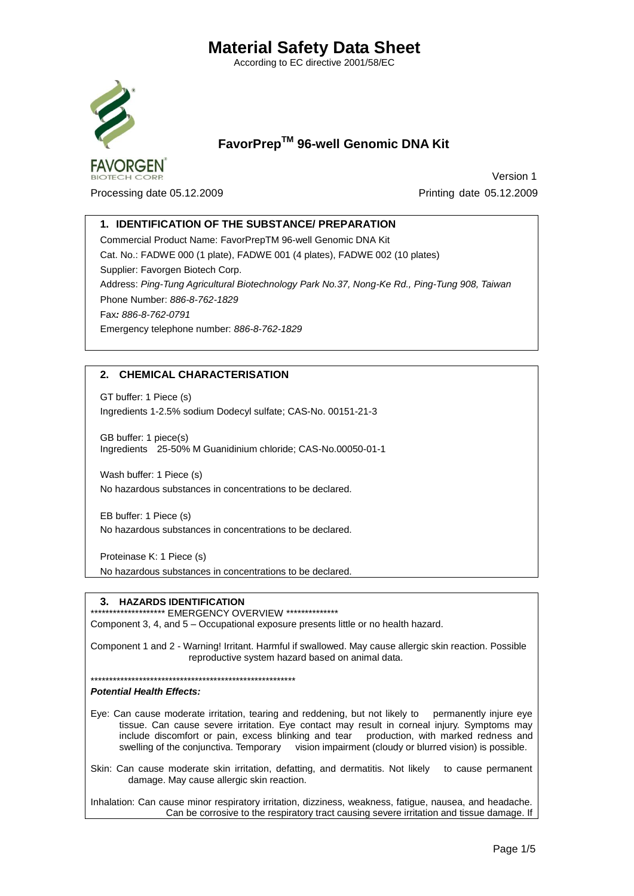According to EC directive 2001/58/EC



# **FavorPrepTM 96-well Genomic DNA Kit**

Processing date 05.12.2009 Printing date 05.12.2009

**Version 1** 

## **1. IDENTIFICATION OF THE SUBSTANCE/ PREPARATION**

Commercial Product Name: FavorPrepTM 96-well Genomic DNA Kit Cat. No.: FADWE 000 (1 plate), FADWE 001 (4 plates), FADWE 002 (10 plates) Supplier: Favorgen Biotech Corp. Address: *Ping-Tung Agricultural Biotechnology Park No.37, Nong-Ke Rd., Ping-Tung 908, Taiwan* Phone Number: *886-8-762-1829* Fax*: 886-8-762-0791* Emergency telephone number: *886-8-762-1829*

## **2. CHEMICAL CHARACTERISATION**

GT buffer: 1 Piece (s) Ingredients 1-2.5% sodium Dodecyl sulfate; CAS-No. 00151-21-3

GB buffer: 1 piece(s) Ingredients 25-50% M Guanidinium chloride; CAS-No.00050-01-1

Wash buffer: 1 Piece (s) No hazardous substances in concentrations to be declared.

EB buffer: 1 Piece (s) No hazardous substances in concentrations to be declared.

Proteinase K: 1 Piece (s)

No hazardous substances in concentrations to be declared.

### **3. HAZARDS IDENTIFICATION**

\*\*\*\*\*\*\*\*\*\*\*\*\*\*\*\*\* EMERGENCY OVERVIEW \*\*\*\*\*\*\*\*\*\*\*\*\*\* Component 3, 4, and 5 – Occupational exposure presents little or no health hazard.

Component 1 and 2 - Warning! Irritant. Harmful if swallowed. May cause allergic skin reaction. Possible reproductive system hazard based on animal data.

\*\*\*\*\*\*\*\*\*\*\*\*\*\*\*\*\*\*\*\*\*\*\*\*\*\*\*\*\*\*\*\*\*\*\*\*\*\*\*\*\*\*\*\*\*\*\*\*\*\*\*\*\*\*\*

#### *Potential Health Effects:*

- Eye: Can cause moderate irritation, tearing and reddening, but not likely to permanently injure eye tissue. Can cause severe irritation. Eye contact may result in corneal injury. Symptoms may include discomfort or pain, excess blinking and tear production, with marked redness and swelling of the conjunctiva. Temporary vision impairment (cloudy or blurred vision) is possible.
- Skin: Can cause moderate skin irritation, defatting, and dermatitis. Not likely to cause permanent damage. May cause allergic skin reaction.

Inhalation: Can cause minor respiratory irritation, dizziness, weakness, fatigue, nausea, and headache. Can be corrosive to the respiratory tract causing severe irritation and tissue damage. If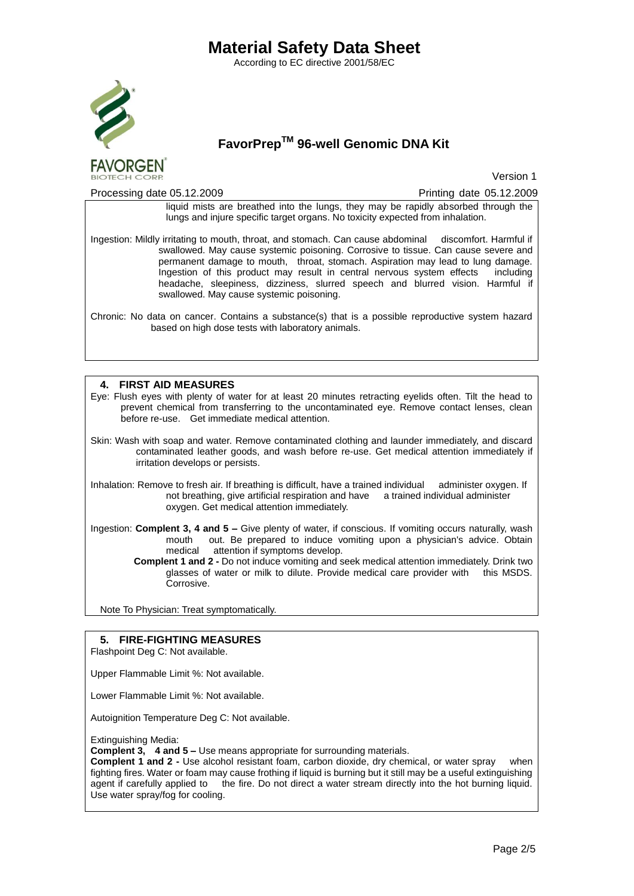According to EC directive 2001/58/EC



# **FavorPrepTM 96-well Genomic DNA Kit**

**Version 1** 

Processing date 05.12.2009 Printing date 05.12.2009 liquid mists are breathed into the lungs, they may be rapidly absorbed through the lungs and injure specific target organs. No toxicity expected from inhalation. Ingestion: Mildly irritating to mouth, throat, and stomach. Can cause abdominal discomfort. Harmful if swallowed. May cause systemic poisoning. Corrosive to tissue. Can cause severe and permanent damage to mouth, throat, stomach. Aspiration may lead to lung damage. Ingestion of this product may result in central nervous system effects including headache, sleepiness, dizziness, slurred speech and blurred vision. Harmful if swallowed. May cause systemic poisoning. Chronic: No data on cancer. Contains a substance(s) that is a possible reproductive system hazard based on high dose tests with laboratory animals.

#### **4. FIRST AID MEASURES**

Eye: Flush eyes with plenty of water for at least 20 minutes retracting eyelids often. Tilt the head to prevent chemical from transferring to the uncontaminated eye. Remove contact lenses, clean before re-use. Get immediate medical attention.

Skin: Wash with soap and water. Remove contaminated clothing and launder immediately, and discard contaminated leather goods, and wash before re-use. Get medical attention immediately if irritation develops or persists.

Inhalation: Remove to fresh air. If breathing is difficult, have a trained individual administer oxygen. If not breathing, give artificial respiration and have a trained individual administer oxygen. Get medical attention immediately.

Ingestion: **Complent 3, 4 and 5 –** Give plenty of water, if conscious. If vomiting occurs naturally, wash mouth out. Be prepared to induce vomiting upon a physician's advice. Obtain medical attention if symptoms develop.

 **Complent 1 and 2 -** Do not induce vomiting and seek medical attention immediately. Drink two glasses of water or milk to dilute. Provide medical care provider with this MSDS. Corrosive.

Note To Physician: Treat symptomatically.

#### **5. FIRE-FIGHTING MEASURES**

Flashpoint Deg C: Not available.

Upper Flammable Limit %: Not available.

Lower Flammable Limit %: Not available.

Autoignition Temperature Deg C: Not available.

Extinguishing Media:

**Complent 3, 4 and 5 –** Use means appropriate for surrounding materials.

**Complent 1 and 2 -** Use alcohol resistant foam, carbon dioxide, dry chemical, or water spray when fighting fires. Water or foam may cause frothing if liquid is burning but it still may be a useful extinguishing agent if carefully applied to the fire. Do not direct a water stream directly into the hot burning liquid. Use water spray/fog for cooling.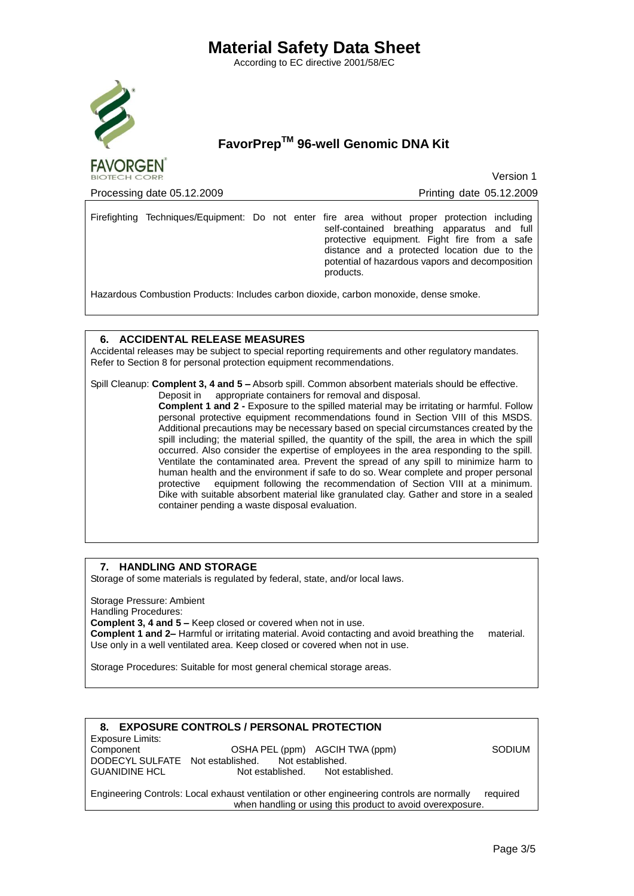According to EC directive 2001/58/EC



# **FavorPrepTM 96-well Genomic DNA Kit**

**FAVORGEN** 

**Version 1** 

Processing date 05.12.2009 Processing date 05.12.2009

Firefighting Techniques/Equipment: Do not enter fire area without proper protection including self-contained breathing apparatus and full protective equipment. Fight fire from a safe distance and a protected location due to the potential of hazardous vapors and decomposition products.

Hazardous Combustion Products: Includes carbon dioxide, carbon monoxide, dense smoke.

### **6. ACCIDENTAL RELEASE MEASURES**

Accidental releases may be subject to special reporting requirements and other regulatory mandates. Refer to Section 8 for personal protection equipment recommendations.

Spill Cleanup: **Complent 3, 4 and 5 –** Absorb spill. Common absorbent materials should be effective.

Deposit in appropriate containers for removal and disposal.

**Complent 1 and 2 -** Exposure to the spilled material may be irritating or harmful. Follow personal protective equipment recommendations found in Section VIII of this MSDS. Additional precautions may be necessary based on special circumstances created by the spill including; the material spilled, the quantity of the spill, the area in which the spill occurred. Also consider the expertise of employees in the area responding to the spill. Ventilate the contaminated area. Prevent the spread of any spill to minimize harm to human health and the environment if safe to do so. Wear complete and proper personal protective equipment following the recommendation of Section VIII at a minimum. Dike with suitable absorbent material like granulated clay. Gather and store in a sealed container pending a waste disposal evaluation.

### **7. HANDLING AND STORAGE**

Storage of some materials is regulated by federal, state, and/or local laws.

Storage Pressure: Ambient Handling Procedures: **Complent 3, 4 and 5 –** Keep closed or covered when not in use. **Complent 1 and 2–** Harmful or irritating material. Avoid contacting and avoid breathing the material. Use only in a well ventilated area. Keep closed or covered when not in use.

Storage Procedures: Suitable for most general chemical storage areas.

## **8. EXPOSURE CONTROLS / PERSONAL PROTECTION** Exposure Limits: Component COSHA PEL (ppm) AGCIH TWA (ppm) SODIUM<br>DODECYL SULFATE Not established. Not established. DODECYL SULFATE Not established. GUANIDINE HCL Not established. Not established. Engineering Controls: Local exhaust ventilation or other engineering controls are normally required when handling or using this product to avoid overexposure.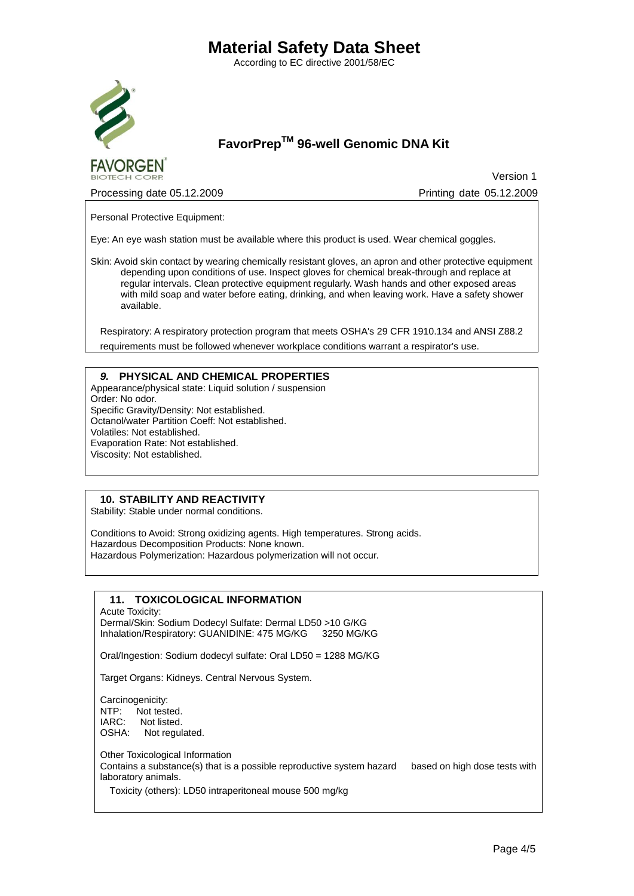According to EC directive 2001/58/EC



**FAVORGEN** 

# **FavorPrepTM 96-well Genomic DNA Kit**

Processing date 05.12.2009 Processing date 05.12.2009

**Version 1** 

Personal Protective Equipment:

Eye: An eye wash station must be available where this product is used. Wear chemical goggles.

Skin: Avoid skin contact by wearing chemically resistant gloves, an apron and other protective equipment depending upon conditions of use. Inspect gloves for chemical break-through and replace at regular intervals. Clean protective equipment regularly. Wash hands and other exposed areas with mild soap and water before eating, drinking, and when leaving work. Have a safety shower available.

Respiratory: A respiratory protection program that meets OSHA's 29 CFR 1910.134 and ANSI Z88.2 requirements must be followed whenever workplace conditions warrant a respirator's use.

#### *9.* **PHYSICAL AND CHEMICAL PROPERTIES**

Appearance/physical state: Liquid solution / suspension Order: No odor. Specific Gravity/Density: Not established. Octanol/water Partition Coeff: Not established. Volatiles: Not established. Evaporation Rate: Not established. Viscosity: Not established.

### **10. STABILITY AND REACTIVITY**

Stability: Stable under normal conditions.

Conditions to Avoid: Strong oxidizing agents. High temperatures. Strong acids. Hazardous Decomposition Products: None known. Hazardous Polymerization: Hazardous polymerization will not occur.

## **11. TOXICOLOGICAL INFORMATION**

Acute Toxicity: Dermal/Skin: Sodium Dodecyl Sulfate: Dermal LD50 >10 G/KG Inhalation/Respiratory: GUANIDINE: 475 MG/KG 3250 MG/KG

Oral/Ingestion: Sodium dodecyl sulfate: Oral LD50 = 1288 MG/KG

Target Organs: Kidneys. Central Nervous System.

Carcinogenicity: NTP: Not tested.<br>IARC: Not listed. Not listed. OSHA: Not regulated.

Other Toxicological Information

Contains a substance(s) that is a possible reproductive system hazard based on high dose tests with laboratory animals.

Toxicity (others): LD50 intraperitoneal mouse 500 mg/kg